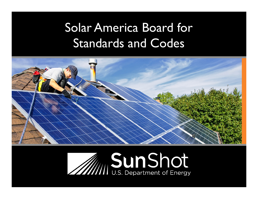#### Solar America Board for Standards and Codes



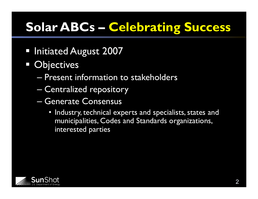#### **Solar ABCs – Celebrating Success**

- **Initiated August 2007**
- **Objectives** 
	- Present information to stakeholders
	- Centralized repository
	- Generate Consensus
		- Industry, technical experts and specialists, states and municipalities, Codes and Standards organizations, interested parties

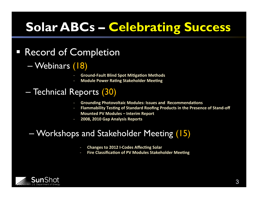#### **Solar ABCs – Celebrating Success**

#### § Record of Completion

- Webinars (18)
	- **Ground-Fault Blind Spot Mitigation Methods**
	- **Module Power Rating Stakeholder Meeting**

#### – Technical Reports (30)

- **Grounding Photovoltaic Modules: Issues and Recommendations**
- **Flammability Testing of Standard Roofing Products in the Presence of Stand-off Mounted PV Modules - Interim Report**
- **2008, 2010 Gap Analysis Reports**

#### – Workshops and Stakeholder Meeting (15)

- **Changes to 2012 I-Codes Affecting Solar**
- **Fire Classification of PV Modules Stakeholder Meeting**

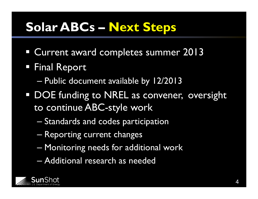#### **Solar ABCs – Next Steps**

- **Current award completes summer 2013**
- § Final Report
	- Public document available by 12/2013
- **DOE funding to NREL as convener, oversight** to continue ABC-style work
	- Standards and codes participation
	- Reporting current changes
	- Monitoring needs for additional work
	- Additional research as needed

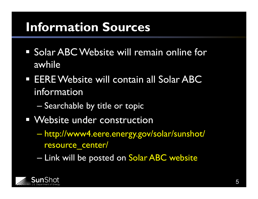#### **Information Sources**

- § Solar ABC Website will remain online for awhile
- EERE Website will contain all Solar ABC information
	- Searchable by title or topic
- Website under construction
	- http://www4.eere.energy.gov/solar/sunshot/ resource\_center/
	- Link will be posted on Solar ABC website

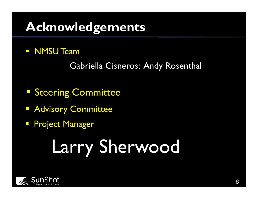#### **Acknowledgements**

**E** NMSU Team

Gabriella Cisneros; Andy Rosenthal

- **Steering Committee**
- **E** Advisory Committee
- **Project Manager**

# Larry Sherwood

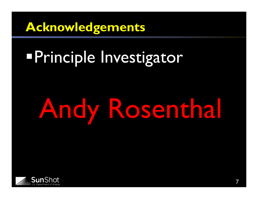**Acknowledgements** 

## **Principle Investigator**

# Andy Rosenthal